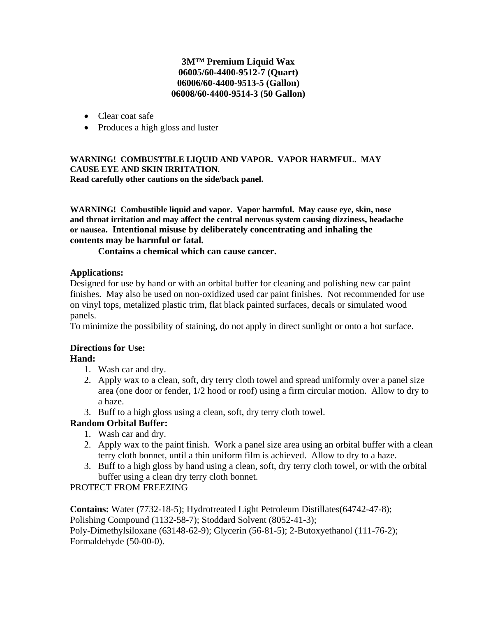## **3M™ Premium Liquid Wax 06005/60-4400-9512-7 (Quart) 06006/60-4400-9513-5 (Gallon) 06008/60-4400-9514-3 (50 Gallon)**

- Clear coat safe
- Produces a high gloss and luster

#### **WARNING! COMBUSTIBLE LIQUID AND VAPOR. VAPOR HARMFUL. MAY CAUSE EYE AND SKIN IRRITATION. Read carefully other cautions on the side/back panel.**

**WARNING! Combustible liquid and vapor. Vapor harmful. May cause eye, skin, nose and throat irritation and may affect the central nervous system causing dizziness, headache or nausea. Intentional misuse by deliberately concentrating and inhaling the contents may be harmful or fatal.** 

 **Contains a chemical which can cause cancer.** 

### **Applications:**

Designed for use by hand or with an orbital buffer for cleaning and polishing new car paint finishes. May also be used on non-oxidized used car paint finishes. Not recommended for use on vinyl tops, metalized plastic trim, flat black painted surfaces, decals or simulated wood panels.

To minimize the possibility of staining, do not apply in direct sunlight or onto a hot surface.

# **Directions for Use:**

# **Hand:**

- 1. Wash car and dry.
- 2. Apply wax to a clean, soft, dry terry cloth towel and spread uniformly over a panel size area (one door or fender, 1/2 hood or roof) using a firm circular motion. Allow to dry to a haze.
- 3. Buff to a high gloss using a clean, soft, dry terry cloth towel.

# **Random Orbital Buffer:**

- 1. Wash car and dry.
- 2. Apply wax to the paint finish. Work a panel size area using an orbital buffer with a clean terry cloth bonnet, until a thin uniform film is achieved. Allow to dry to a haze.
- 3. Buff to a high gloss by hand using a clean, soft, dry terry cloth towel, or with the orbital buffer using a clean dry terry cloth bonnet.

# PROTECT FROM FREEZING

**Contains:** Water (7732-18-5); Hydrotreated Light Petroleum Distillates(64742-47-8); Polishing Compound (1132-58-7); Stoddard Solvent (8052-41-3); Poly-Dimethylsiloxane (63148-62-9); Glycerin (56-81-5); 2-Butoxyethanol (111-76-2); Formaldehyde (50-00-0).